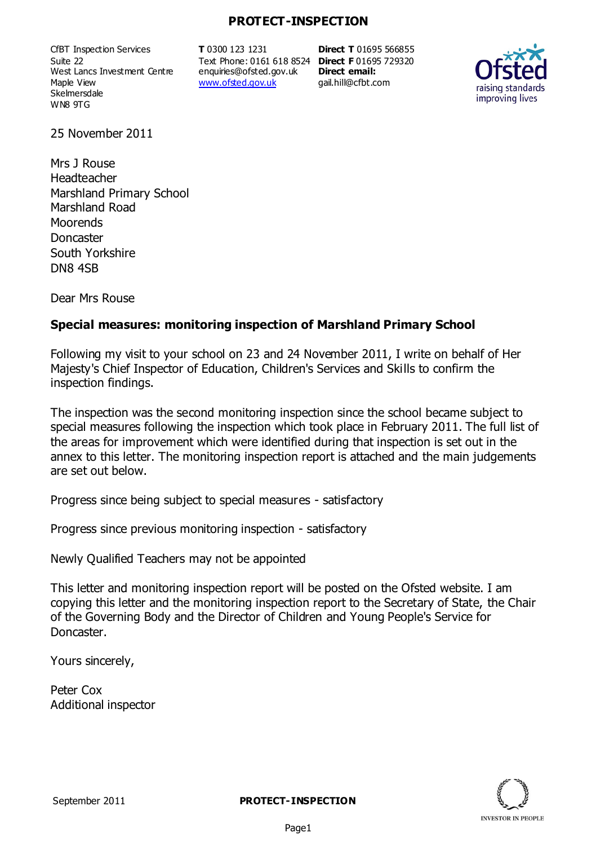#### **PROTECT-INSPECTION**

CfBT Inspection Services Suite 22 West Lancs Investment Centre Maple View **Skelmersdale** WN8 9TG

**T** 0300 123 1231 Text Phone: 0161 618 8524 **Direct F** 01695 729320 enquiries@ofsted.gov.uk www.ofsted.gov.uk

**Direct T** 01695 566855 **Direct email:**  gail.hill@cfbt.com



25 November 2011

Mrs J Rouse Headteacher Marshland Primary School Marshland Road **Moorends Doncaster** South Yorkshire DN8 4SB

Dear Mrs Rouse

## **Special measures: monitoring inspection of Marshland Primary School**

Following my visit to your school on 23 and 24 November 2011, I write on behalf of Her Majesty's Chief Inspector of Education, Children's Services and Skills to confirm the inspection findings.

The inspection was the second monitoring inspection since the school became subject to special measures following the inspection which took place in February 2011. The full list of the areas for improvement which were identified during that inspection is set out in the annex to this letter. The monitoring inspection report is attached and the main judgements are set out below.

Progress since being subject to special measures - satisfactory

Progress since previous monitoring inspection - satisfactory

Newly Qualified Teachers may not be appointed

This letter and monitoring inspection report will be posted on the Ofsted website. I am copying this letter and the monitoring inspection report to the Secretary of State, the Chair of the Governing Body and the Director of Children and Young People's Service for Doncaster.

Yours sincerely,

Peter Cox Additional inspector

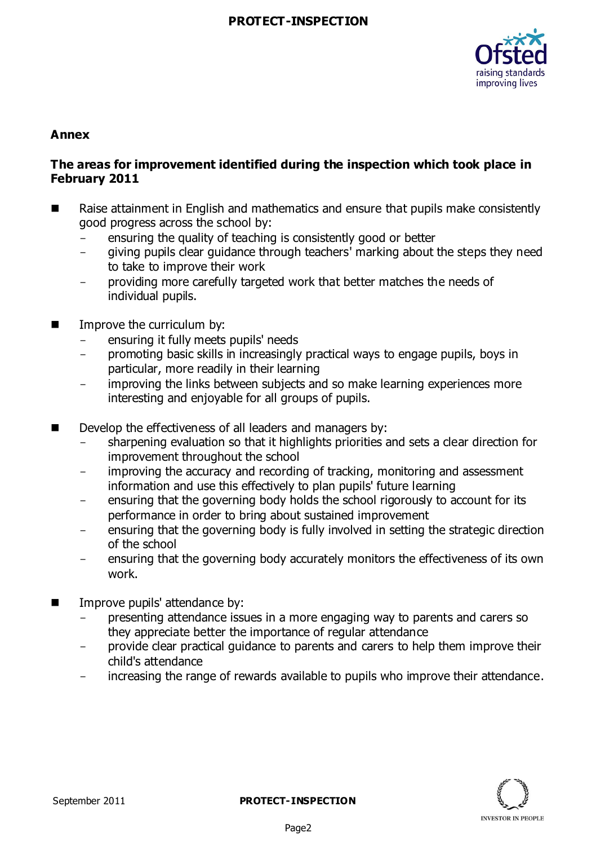

## **Annex**

## **The areas for improvement identified during the inspection which took place in February 2011**

- Raise attainment in English and mathematics and ensure that pupils make consistently good progress across the school by:
	- ensuring the quality of teaching is consistently good or better
	- giving pupils clear guidance through teachers' marking about the steps they need to take to improve their work
	- providing more carefully targeted work that better matches the needs of individual pupils.
- Improve the curriculum by:
	- ensuring it fully meets pupils' needs
	- promoting basic skills in increasingly practical ways to engage pupils, boys in particular, more readily in their learning
	- improving the links between subjects and so make learning experiences more interesting and enjoyable for all groups of pupils.
- Develop the effectiveness of all leaders and managers by:
	- sharpening evaluation so that it highlights priorities and sets a clear direction for improvement throughout the school
	- improving the accuracy and recording of tracking, monitoring and assessment information and use this effectively to plan pupils' future learning
	- ensuring that the governing body holds the school rigorously to account for its performance in order to bring about sustained improvement
	- ensuring that the governing body is fully involved in setting the strategic direction of the school
	- ensuring that the governing body accurately monitors the effectiveness of its own work.
- **IMPROVE pupils' attendance by:** 
	- presenting attendance issues in a more engaging way to parents and carers so they appreciate better the importance of regular attendance
	- provide clear practical quidance to parents and carers to help them improve their child's attendance
	- increasing the range of rewards available to pupils who improve their attendance.

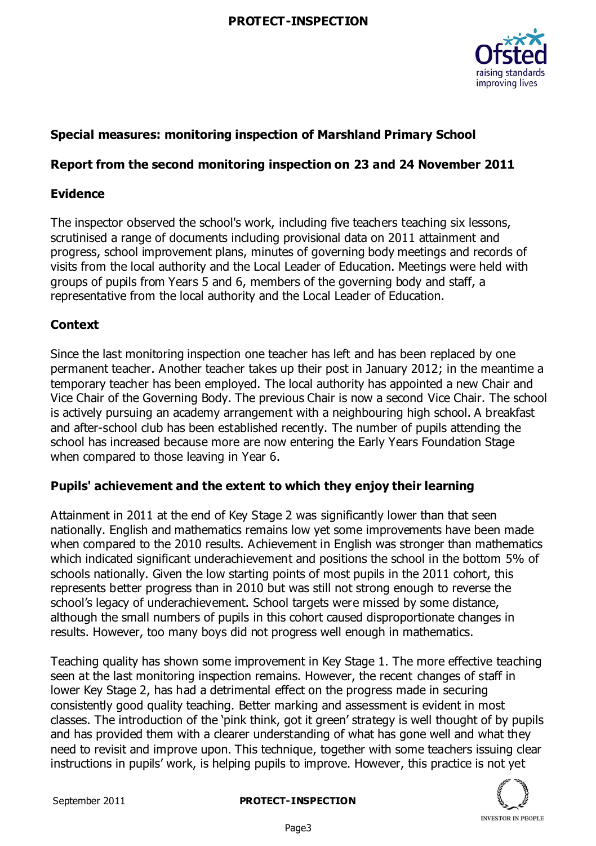

# **Special measures: monitoring inspection of Marshland Primary School**

### **Report from the second monitoring inspection on 23 and 24 November 2011**

### **Evidence**

The inspector observed the school's work, including five teachers teaching six lessons, scrutinised a range of documents including provisional data on 2011 attainment and progress, school improvement plans, minutes of governing body meetings and records of visits from the local authority and the Local Leader of Education. Meetings were held with groups of pupils from Years 5 and 6, members of the governing body and staff, a representative from the local authority and the Local Leader of Education.

## **Context**

Since the last monitoring inspection one teacher has left and has been replaced by one permanent teacher. Another teacher takes up their post in January 2012; in the meantime a temporary teacher has been employed. The local authority has appointed a new Chair and Vice Chair of the Governing Body. The previous Chair is now a second Vice Chair. The school is actively pursuing an academy arrangement with a neighbouring high school. A breakfast and after-school club has been established recently. The number of pupils attending the school has increased because more are now entering the Early Years Foundation Stage when compared to those leaving in Year 6.

### **Pupils' achievement and the extent to which they enjoy their learning**

Attainment in 2011 at the end of Key Stage 2 was significantly lower than that seen nationally. English and mathematics remains low yet some improvements have been made when compared to the 2010 results. Achievement in English was stronger than mathematics which indicated significant underachievement and positions the school in the bottom 5% of schools nationally. Given the low starting points of most pupils in the 2011 cohort, this represents better progress than in 2010 but was still not strong enough to reverse the school's legacy of underachievement. School targets were missed by some distance, although the small numbers of pupils in this cohort caused disproportionate changes in results. However, too many boys did not progress well enough in mathematics.

Teaching quality has shown some improvement in Key Stage 1. The more effective teaching seen at the last monitoring inspection remains. However, the recent changes of staff in lower Key Stage 2, has had a detrimental effect on the progress made in securing consistently good quality teaching. Better marking and assessment is evident in most classes. The introduction of the 'pink think, got it green' strategy is well thought of by pupils and has provided them with a clearer understanding of what has gone well and what they need to revisit and improve upon. This technique, together with some teachers issuing clear instructions in pupils' work, is helping pupils to improve. However, this practice is not yet



#### September 2011 **PROTECT-INSPECTION**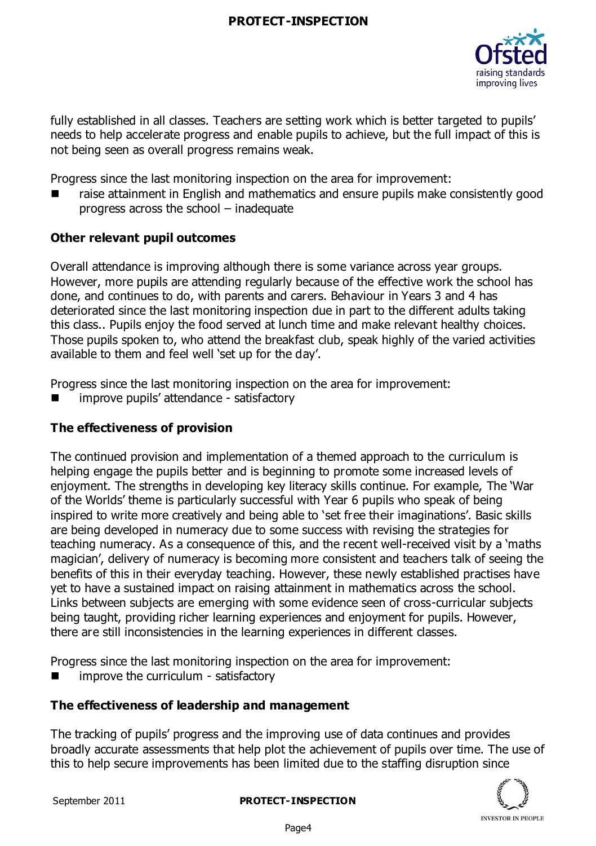

fully established in all classes. Teachers are setting work which is better targeted to pupils' needs to help accelerate progress and enable pupils to achieve, but the full impact of this is not being seen as overall progress remains weak.

Progress since the last monitoring inspection on the area for improvement:

 raise attainment in English and mathematics and ensure pupils make consistently good progress across the school – inadequate

### **Other relevant pupil outcomes**

Overall attendance is improving although there is some variance across year groups. However, more pupils are attending regularly because of the effective work the school has done, and continues to do, with parents and carers. Behaviour in Years 3 and 4 has deteriorated since the last monitoring inspection due in part to the different adults taking this class.. Pupils enjoy the food served at lunch time and make relevant healthy choices. Those pupils spoken to, who attend the breakfast club, speak highly of the varied activities available to them and feel well 'set up for the day'.

Progress since the last monitoring inspection on the area for improvement:

improve pupils' attendance - satisfactory

## **The effectiveness of provision**

The continued provision and implementation of a themed approach to the curriculum is helping engage the pupils better and is beginning to promote some increased levels of enjoyment. The strengths in developing key literacy skills continue. For example, The 'War of the Worlds' theme is particularly successful with Year 6 pupils who speak of being inspired to write more creatively and being able to 'set free their imaginations'. Basic skills are being developed in numeracy due to some success with revising the strategies for teaching numeracy. As a consequence of this, and the recent well-received visit by a 'maths magician', delivery of numeracy is becoming more consistent and teachers talk of seeing the benefits of this in their everyday teaching. However, these newly established practises have yet to have a sustained impact on raising attainment in mathematics across the school. Links between subjects are emerging with some evidence seen of cross-curricular subjects being taught, providing richer learning experiences and enjoyment for pupils. However, there are still inconsistencies in the learning experiences in different classes.

Progress since the last monitoring inspection on the area for improvement:

improve the curriculum - satisfactory

### **The effectiveness of leadership and management**

The tracking of pupils' progress and the improving use of data continues and provides broadly accurate assessments that help plot the achievement of pupils over time. The use of this to help secure improvements has been limited due to the staffing disruption since



Page4